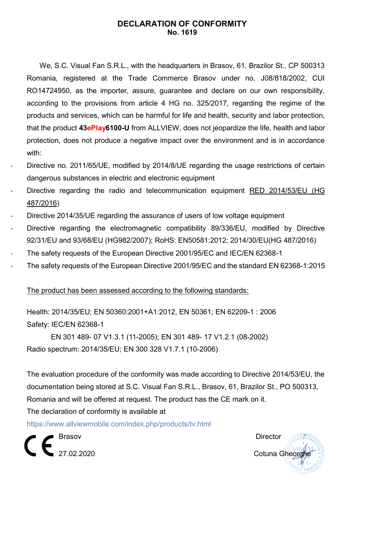## **DECLARATION OF CONFORMITY No. 1619**

We, S.C. Visual Fan S.R.L., with the headquarters in Brasov, 61, Brazilor St., CP 500313 Romania, registered at the Trade Commerce Brasov under no. J08/818/2002, CUI RO14724950, as the importer, assure, guarantee and declare on our own responsibility, according to the provisions from article 4 HG no. 325/2017, regarding the regime of the products and services, which can be harmful for life and health, security and labor protection, that the product **43ePlay6100-U** from ALLVIEW, does not jeopardize the life, health and labor protection, does not produce a negative impact over the environment and is in accordance with:

- Directive no. 2011/65/UE, modified by 2014/8/UE regarding the usage restrictions of certain dangerous substances in electric and electronic equipment
- Directive regarding the radio and telecommunication equipment RED 2014/53/EU (HG 487/2016)
- Directive 2014/35/UE regarding the assurance of users of low voltage equipment
- Directive regarding the electromagnetic compatibility 89/336/EU, modified by Directive 92/31/EU and 93/68/EU (HG982/2007); RoHS: EN50581:2012; 2014/30/EU(HG 487/2016)
- The safety requests of the European Directive 2001/95/EC and IEC/EN 62368-1
- The safety requests of the European Directive 2001/95/EC and the standard EN 62368-1:2015

#### The product has been assessed according to the following standards:

Health: 2014/35/EU; EN 50360:2001+A1:2012, EN 50361; EN 62209-1 : 2006 Safety: IEC/EN 62368-1

 EN 301 489- 07 V1.3.1 (11-2005); EN 301 489- 17 V1.2.1 (08-2002) Radio spectrum: 2014/35/EU; EN 300 328 V1.7.1 (10-2006)

The evaluation procedure of the conformity was made according to Directive 2014/53/EU, the documentation being stored at S.C. Visual Fan S.R.L., Brasov, 61, Brazilor St., PO 500313, Romania and will be offered at request. The product has the CE mark on it. The declaration of conformity is available at

<https://www.allviewmobile.com/index.php/products/tv.html>

Brasov **Director Brasil** 

■<br>■ 27.02.2020 Cotuna Gheorg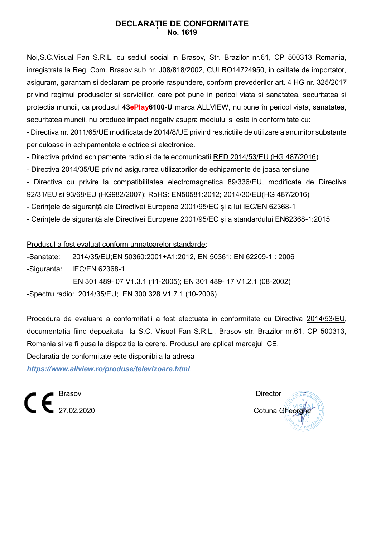## **DECLARAȚIE DE CONFORMITATE No. 1619**

Noi,S.C.Visual Fan S.R.L, cu sediul social in Brasov, Str. Brazilor nr.61, CP 500313 Romania, inregistrata la Reg. Com. Brasov sub nr. J08/818/2002, CUI RO14724950, in calitate de importator, asiguram, garantam si declaram pe proprie raspundere, conform prevederilor art. 4 HG nr. 325/2017 privind regimul produselor si serviciilor, care pot pune in pericol viata si sanatatea, securitatea si protectia muncii, ca produsul **43ePlay6100-U** marca ALLVIEW, nu pune în pericol viata, sanatatea, securitatea muncii, nu produce impact negativ asupra mediului si este in conformitate cu:

- Directiva nr. 2011/65/UE modificata de 2014/8/UE privind restrictiile de utilizare a anumitor substante periculoase in echipamentele electrice si electronice.

- Directiva privind echipamente radio si de telecomunicatii RED 2014/53/EU (HG 487/2016)

- [Directiva 2014/35/UE](https://www.legisplus.ro/Intralegis6/oficiale/afis.php?f=179242&diez=A28&link=0) privind asigurarea utilizatorilor de echipamente de joasa tensiune

- Directiva cu privire la compatibilitatea electromagnetica 89/336/EU, modificate de Directiva 92/31/EU si 93/68/EU (HG982/2007); RoHS: EN50581:2012; 2014/30/EU(HG 487/2016)

- Cerințele de siguranță ale Directivei Europene 2001/95/EC și a lui IEC/EN 62368-1

- Cerințele de siguranță ale Directivei Europene 2001/95/EC și a standardului EN62368-1:2015

Produsul a fost evaluat conform urmatoarelor standarde:

-Sanatate: 2014/35/EU;EN 50360:2001+A1:2012, EN 50361; EN 62209-1 : 2006

-Siguranta: IEC/EN 62368-1

 EN 301 489- 07 V1.3.1 (11-2005); EN 301 489- 17 V1.2.1 (08-2002) -Spectru radio: 2014/35/EU; EN 300 328 V1.7.1 (10-2006)

Procedura de evaluare a conformitatii a fost efectuata in conformitate cu Directiva 2014/53/EU, documentatia fiind depozitata la S.C. Visual Fan S.R.L., Brasov str. Brazilor nr.61, CP 500313, Romania si va fi pusa la dispozitie la cerere. Produsul are aplicat marcajul CE.

Declaratia de conformitate este disponibila la adresa *<https://www.allview.ro/produse/televizoare.html>*.

 $\mathbf{C} \in \mathbb{S}^{\text{Brasov}}$ 

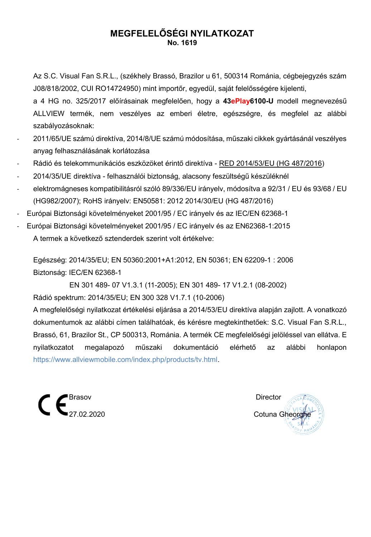# **MEGFELELŐSÉGI NYILATKOZAT No. 1619**

Az S.C. Visual Fan S.R.L., (székhely Brassó, Brazilor u 61, 500314 Románia, cégbejegyzés szám J08/818/2002, CUI RO14724950) mint importőr, egyedül, saját felelősségére kijelenti,

a 4 HG no. 325/2017 előírásainak megfelelően, hogy a **43ePlay6100-U** modell megnevezésű ALLVIEW termék, nem veszélyes az emberi életre, egészségre, és megfelel az alábbi szabályozásoknak:

- 2011/65/UE számú direktíva, 2014/8/UE számú módosítása, műszaki cikkek gyártásánál veszélyes anyag felhasználásának korlátozása
- Rádió és telekommunikációs eszközöket érintő direktíva RED 2014/53/EU (HG 487/2016)
- 2014/35/UE direktíva felhasználói biztonság, alacsony feszültségű készüléknél
- elektromágneses kompatibilitásról szóló 89/336/EU irányelv, módosítva a 92/31 / EU és 93/68 / EU (HG982/2007); RoHS irányelv: EN50581: 2012 2014/30/EU (HG 487/2016)
- Európai Biztonsági követelményeket 2001/95 / EC irányelv és az IEC/EN 62368-1
- Európai Biztonsági követelményeket 2001/95 / EC irányelv és az EN62368-1:2015 A termek a következő sztenderdek szerint volt értékelve:

Egészség: 2014/35/EU; EN 50360:2001+A1:2012, EN 50361; EN 62209-1 : 2006 Biztonság: IEC/EN 62368-1

 EN 301 489- 07 V1.3.1 (11-2005); EN 301 489- 17 V1.2.1 (08-2002) Rádió spektrum: 2014/35/EU; EN 300 328 V1.7.1 (10-2006)

A megfelelőségi nyilatkozat értékelési eljárása a 2014/53/EU direktíva alapján zajlott. A vonatkozó dokumentumok az alábbi címen találhatóak, és kérésre megtekinthetőek: S.C. Visual Fan S.R.L., Brassó, 61, Brazilor St., CP 500313, Románia. A termék CE megfelelőségi jelöléssel van ellátva. E nyilatkozatot megalapozó műszaki dokumentáció elérhető az alábbi honlapon [https://www.allviewmobile.com/index.php/products/tv.html.](https://www.allviewmobile.com/index.php/products/tv.html)



Cotuna Gheor